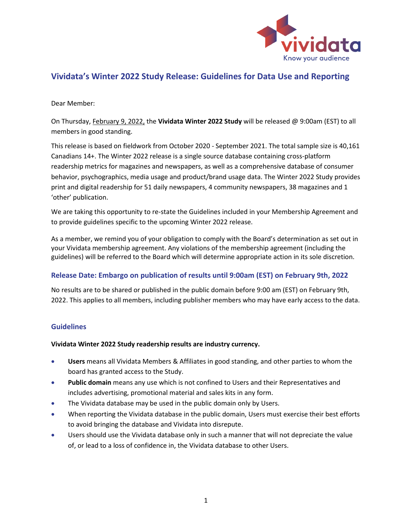

## **Vividata's Winter 2022 Study Release: Guidelines for Data Use and Reporting**

Dear Member:

On Thursday, February 9, 2022, the **Vividata Winter 2022 Study** will be released @ 9:00am (EST) to all members in good standing.

This release is based on fieldwork from October 2020 - September 2021. The total sample size is 40,161 Canadians 14+. The Winter 2022 release is a single source database containing cross-platform readership metrics for magazines and newspapers, as well as a comprehensive database of consumer behavior, psychographics, media usage and product/brand usage data. The Winter 2022 Study provides print and digital readership for 51 daily newspapers, 4 community newspapers, 38 magazines and 1 'other' publication.

We are taking this opportunity to re-state the Guidelines included in your Membership Agreement and to provide guidelines specific to the upcoming Winter 2022 release.

As a member, we remind you of your obligation to comply with the Board's determination as set out in your Vividata membership agreement. Any violations of the membership agreement (including the guidelines) will be referred to the Board which will determine appropriate action in its sole discretion.

#### **Release Date: Embargo on publication of results until 9:00am (EST) on February 9th, 2022**

No results are to be shared or published in the public domain before 9:00 am (EST) on February 9th, 2022. This applies to all members, including publisher members who may have early access to the data.

#### **Guidelines**

#### **Vividata Winter 2022 Study readership results are industry currency.**

- **Users** means all Vividata Members & Affiliates in good standing, and other parties to whom the board has granted access to the Study.
- **Public domain** means any use which is not confined to Users and their Representatives and includes advertising, promotional material and sales kits in any form.
- The Vividata database may be used in the public domain only by Users.
- When reporting the Vividata database in the public domain, Users must exercise their best efforts to avoid bringing the database and Vividata into disrepute.
- Users should use the Vividata database only in such a manner that will not depreciate the value of, or lead to a loss of confidence in, the Vividata database to other Users.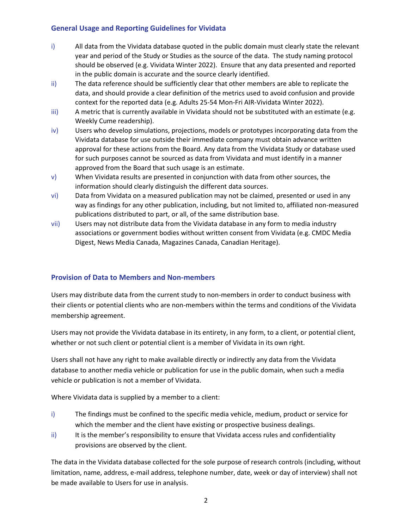#### **General Usage and Reporting Guidelines for Vividata**

- i) All data from the Vividata database quoted in the public domain must clearly state the relevant year and period of the Study or Studies as the source of the data. The study naming protocol should be observed (e.g. Vividata Winter 2022). Ensure that any data presented and reported in the public domain is accurate and the source clearly identified.
- ii) The data reference should be sufficiently clear that other members are able to replicate the data, and should provide a clear definition of the metrics used to avoid confusion and provide context for the reported data (e.g. Adults 25-54 Mon-Fri AIR-Vividata Winter 2022).
- iii) A metric that is currently available in Vividata should not be substituted with an estimate (e.g. Weekly Cume readership).
- iv) Users who develop simulations, projections, models or prototypes incorporating data from the Vividata database for use outside their immediate company must obtain advance written approval for these actions from the Board. Any data from the Vividata Study or database used for such purposes cannot be sourced as data from Vividata and must identify in a manner approved from the Board that such usage is an estimate.
- v) When Vividata results are presented in conjunction with data from other sources, the information should clearly distinguish the different data sources.
- vi) Data from Vividata on a measured publication may not be claimed, presented or used in any way as findings for any other publication, including, but not limited to, affiliated non-measured publications distributed to part, or all, of the same distribution base.
- vii) Users may not distribute data from the Vividata database in any form to media industry associations or government bodies without written consent from Vividata (e.g. CMDC Media Digest, News Media Canada, Magazines Canada, Canadian Heritage).

### **Provision of Data to Members and Non-members**

Users may distribute data from the current study to non-members in order to conduct business with their clients or potential clients who are non-members within the terms and conditions of the Vividata membership agreement.

Users may not provide the Vividata database in its entirety, in any form, to a client, or potential client, whether or not such client or potential client is a member of Vividata in its own right.

Users shall not have any right to make available directly or indirectly any data from the Vividata database to another media vehicle or publication for use in the public domain, when such a media vehicle or publication is not a member of Vividata.

Where Vividata data is supplied by a member to a client:

- i) The findings must be confined to the specific media vehicle, medium, product or service for which the member and the client have existing or prospective business dealings.
- ii) It is the member's responsibility to ensure that Vividata access rules and confidentiality provisions are observed by the client.

The data in the Vividata database collected for the sole purpose of research controls (including, without limitation, name, address, e-mail address, telephone number, date, week or day of interview) shall not be made available to Users for use in analysis.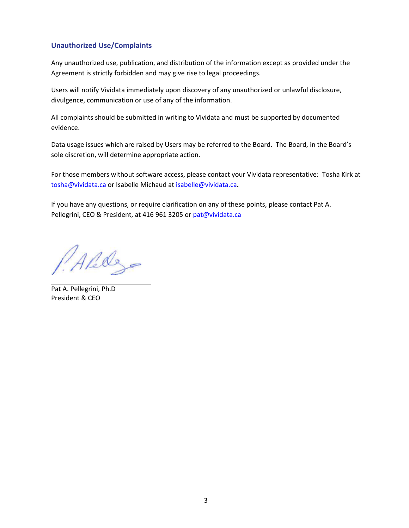### **Unauthorized Use/Complaints**

Any unauthorized use, publication, and distribution of the information except as provided under the Agreement is strictly forbidden and may give rise to legal proceedings.

Users will notify Vividata immediately upon discovery of any unauthorized or unlawful disclosure, divulgence, communication or use of any of the information.

All complaints should be submitted in writing to Vividata and must be supported by documented evidence.

Data usage issues which are raised by Users may be referred to the Board. The Board, in the Board's sole discretion, will determine appropriate action.

For those members without software access, please contact your Vividata representative: Tosha Kirk at [tosha@vividata.ca](mailto:tosha@vividata.ca) or Isabelle Michaud at [isabelle@vividata.ca](mailto:isabelle@vividata.ca)**.**

If you have any questions, or require clarification on any of these points, please contact Pat A. Pellegrini, CEO & President, at 416 961 3205 or [pat@vividata.ca](mailto:pat@vividata.ca)

Alely

Pat A. Pellegrini, Ph.D President & CEO